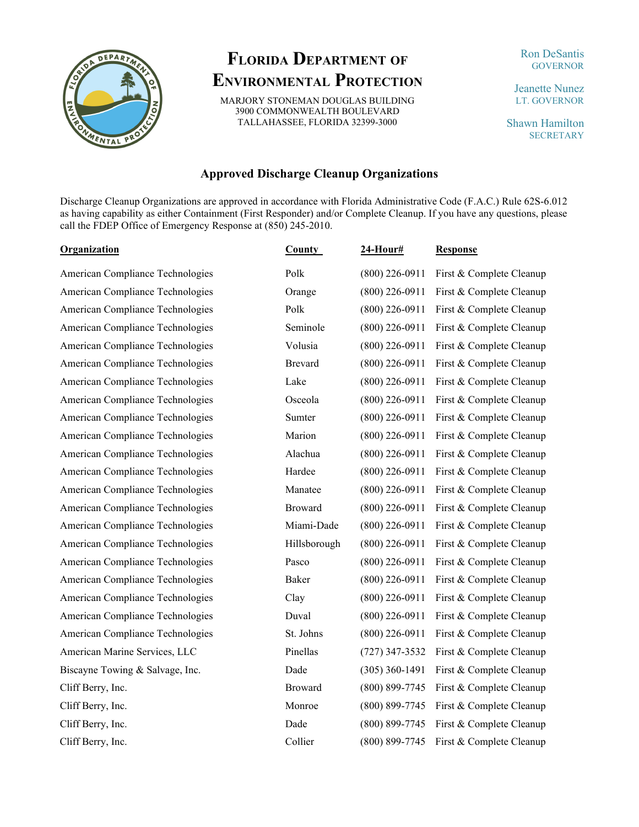

## **FLORIDA DEPARTMENT OF ENVIRONMENTAL PROTECTION**

MARJORY STONEMAN DOUGLAS BUILDING 3900 COMMONWEALTH BOULEVARD TALLAHASSEE, FLORIDA 32399-3000

## Ron DeSantis **GOVERNOR**

Jeanette Nunez LT. GOVERNOR

Shawn Hamilton **SECRETARY** 

## **Approved Discharge Cleanup Organizations**

Discharge Cleanup Organizations are approved in accordance with Florida Administrative Code (F.A.C.) Rule 62S-6.012 as having capability as either Containment (First Responder) and/or Complete Cleanup. If you have any questions, please call the FDEP Office of Emergency Response at (850) 245-2010.

| Organization                     | <b>County</b>  | <b>24-Hour#</b>    | <b>Response</b>          |
|----------------------------------|----------------|--------------------|--------------------------|
| American Compliance Technologies | Polk           | $(800)$ 226-0911   | First & Complete Cleanup |
| American Compliance Technologies | Orange         | $(800)$ 226-0911   | First & Complete Cleanup |
| American Compliance Technologies | Polk           | $(800)$ 226-0911   | First & Complete Cleanup |
| American Compliance Technologies | Seminole       | $(800)$ 226-0911   | First & Complete Cleanup |
| American Compliance Technologies | Volusia        | $(800)$ 226-0911   | First & Complete Cleanup |
| American Compliance Technologies | <b>Brevard</b> | $(800)$ 226-0911   | First & Complete Cleanup |
| American Compliance Technologies | Lake           | $(800)$ 226-0911   | First & Complete Cleanup |
| American Compliance Technologies | Osceola        | $(800)$ 226-0911   | First & Complete Cleanup |
| American Compliance Technologies | Sumter         | $(800)$ 226-0911   | First & Complete Cleanup |
| American Compliance Technologies | Marion         | $(800)$ 226-0911   | First & Complete Cleanup |
| American Compliance Technologies | Alachua        | $(800)$ 226-0911   | First & Complete Cleanup |
| American Compliance Technologies | Hardee         | $(800)$ 226-0911   | First & Complete Cleanup |
| American Compliance Technologies | Manatee        | $(800)$ 226-0911   | First & Complete Cleanup |
| American Compliance Technologies | Broward        | $(800)$ 226-0911   | First & Complete Cleanup |
| American Compliance Technologies | Miami-Dade     | $(800)$ 226-0911   | First & Complete Cleanup |
| American Compliance Technologies | Hillsborough   | $(800)$ 226-0911   | First & Complete Cleanup |
| American Compliance Technologies | Pasco          | $(800)$ 226-0911   | First & Complete Cleanup |
| American Compliance Technologies | Baker          | $(800)$ 226-0911   | First & Complete Cleanup |
| American Compliance Technologies | Clay           | $(800)$ 226-0911   | First & Complete Cleanup |
| American Compliance Technologies | Duval          | $(800)$ 226-0911   | First & Complete Cleanup |
| American Compliance Technologies | St. Johns      | $(800)$ 226-0911   | First & Complete Cleanup |
| American Marine Services, LLC    | Pinellas       | $(727)$ 347-3532   | First & Complete Cleanup |
| Biscayne Towing & Salvage, Inc.  | Dade           | $(305)$ 360-1491   | First & Complete Cleanup |
| Cliff Berry, Inc.                | Broward        | $(800) 899 - 7745$ | First & Complete Cleanup |
| Cliff Berry, Inc.                | Monroe         | $(800) 899 - 7745$ | First & Complete Cleanup |
| Cliff Berry, Inc.                | Dade           | (800) 899-7745     | First & Complete Cleanup |
| Cliff Berry, Inc.                | Collier        | $(800) 899 - 7745$ | First & Complete Cleanup |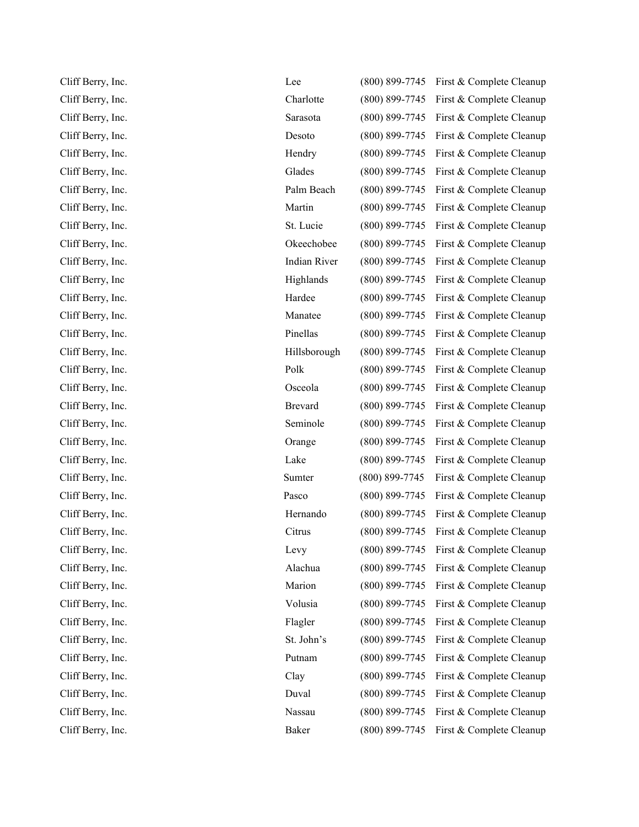| Cliff Berry, Inc. | Lee                 | $(800) 899 - 7745$ | First & Complete Cleanup |
|-------------------|---------------------|--------------------|--------------------------|
| Cliff Berry, Inc. | Charlotte           | $(800) 899 - 7745$ | First & Complete Cleanup |
| Cliff Berry, Inc. | Sarasota            | $(800) 899 - 7745$ | First & Complete Cleanup |
| Cliff Berry, Inc. | Desoto              | $(800) 899 - 7745$ | First & Complete Cleanup |
| Cliff Berry, Inc. | Hendry              | $(800) 899 - 7745$ | First & Complete Cleanup |
| Cliff Berry, Inc. | Glades              | $(800) 899 - 7745$ | First & Complete Cleanup |
| Cliff Berry, Inc. | Palm Beach          | $(800) 899 - 7745$ | First & Complete Cleanup |
| Cliff Berry, Inc. | Martin              | $(800) 899 - 7745$ | First & Complete Cleanup |
| Cliff Berry, Inc. | St. Lucie           | $(800) 899 - 7745$ | First & Complete Cleanup |
| Cliff Berry, Inc. | Okeechobee          | $(800) 899 - 7745$ | First & Complete Cleanup |
| Cliff Berry, Inc. | <b>Indian River</b> | $(800) 899 - 7745$ | First & Complete Cleanup |
| Cliff Berry, Inc  | Highlands           | $(800)$ 899-7745   | First & Complete Cleanup |
| Cliff Berry, Inc. | Hardee              | $(800) 899 - 7745$ | First & Complete Cleanup |
| Cliff Berry, Inc. | Manatee             | $(800) 899 - 7745$ | First & Complete Cleanup |
| Cliff Berry, Inc. | Pinellas            | $(800) 899 - 7745$ | First & Complete Cleanup |
| Cliff Berry, Inc. | Hillsborough        | $(800) 899 - 7745$ | First & Complete Cleanup |
| Cliff Berry, Inc. | Polk                | $(800) 899 - 7745$ | First & Complete Cleanup |
| Cliff Berry, Inc. | Osceola             | $(800) 899 - 7745$ | First & Complete Cleanup |
| Cliff Berry, Inc. | <b>Brevard</b>      | $(800) 899 - 7745$ | First & Complete Cleanup |
| Cliff Berry, Inc. | Seminole            | $(800) 899 - 7745$ | First & Complete Cleanup |
| Cliff Berry, Inc. | Orange              | $(800) 899 - 7745$ | First & Complete Cleanup |
| Cliff Berry, Inc. | Lake                | $(800) 899 - 7745$ | First & Complete Cleanup |
| Cliff Berry, Inc. | Sumter              | $(800) 899 - 7745$ | First & Complete Cleanup |
| Cliff Berry, Inc. | Pasco               | $(800) 899 - 7745$ | First & Complete Cleanup |
| Cliff Berry, Inc. | Hernando            | $(800) 899 - 7745$ | First & Complete Cleanup |
| Cliff Berry, Inc. | Citrus              | $(800) 899 - 7745$ | First & Complete Cleanup |
| Cliff Berry, Inc. | Levy                | $(800)$ 899-7745   | First & Complete Cleanup |
| Cliff Berry, Inc. | Alachua             | $(800) 899 - 7745$ | First & Complete Cleanup |
| Cliff Berry, Inc. | Marion              | $(800) 899 - 7745$ | First & Complete Cleanup |
| Cliff Berry, Inc. | Volusia             | $(800) 899 - 7745$ | First & Complete Cleanup |
| Cliff Berry, Inc. | Flagler             | $(800) 899 - 7745$ | First & Complete Cleanup |
| Cliff Berry, Inc. | St. John's          | $(800) 899 - 7745$ | First & Complete Cleanup |
| Cliff Berry, Inc. | Putnam              | $(800) 899 - 7745$ | First & Complete Cleanup |
| Cliff Berry, Inc. | Clay                | $(800) 899 - 7745$ | First & Complete Cleanup |
| Cliff Berry, Inc. | Duval               | $(800) 899 - 7745$ | First & Complete Cleanup |
| Cliff Berry, Inc. | Nassau              | $(800) 899 - 7745$ | First & Complete Cleanup |
| Cliff Berry, Inc. | Baker               | $(800) 899 - 7745$ | First & Complete Cleanup |
|                   |                     |                    |                          |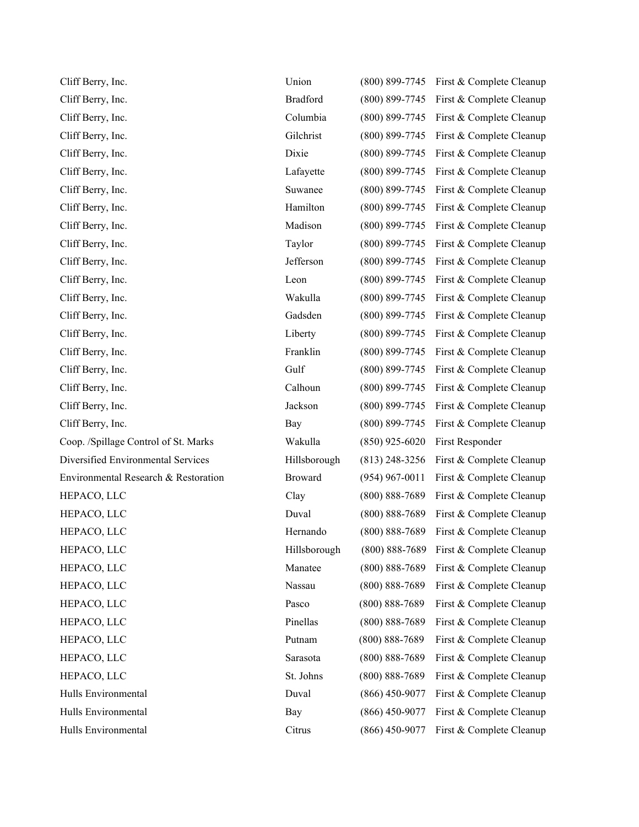| Cliff Berry, Inc.                    | Union           | $(800) 899 - 7745$ | First & Complete Cleanup |
|--------------------------------------|-----------------|--------------------|--------------------------|
| Cliff Berry, Inc.                    | <b>Bradford</b> | $(800) 899 - 7745$ | First & Complete Cleanup |
| Cliff Berry, Inc.                    | Columbia        | $(800) 899 - 7745$ | First & Complete Cleanup |
| Cliff Berry, Inc.                    | Gilchrist       | $(800) 899 - 7745$ | First & Complete Cleanup |
| Cliff Berry, Inc.                    | Dixie           | $(800) 899 - 7745$ | First & Complete Cleanup |
| Cliff Berry, Inc.                    | Lafayette       | $(800) 899 - 7745$ | First & Complete Cleanup |
| Cliff Berry, Inc.                    | Suwanee         | $(800) 899 - 7745$ | First & Complete Cleanup |
| Cliff Berry, Inc.                    | Hamilton        | (800) 899-7745     | First & Complete Cleanup |
| Cliff Berry, Inc.                    | Madison         | $(800)$ 899-7745   | First & Complete Cleanup |
| Cliff Berry, Inc.                    | Taylor          | $(800) 899 - 7745$ | First & Complete Cleanup |
| Cliff Berry, Inc.                    | Jefferson       | $(800) 899 - 7745$ | First & Complete Cleanup |
| Cliff Berry, Inc.                    | Leon            | $(800) 899 - 7745$ | First & Complete Cleanup |
| Cliff Berry, Inc.                    | Wakulla         | $(800) 899 - 7745$ | First & Complete Cleanup |
| Cliff Berry, Inc.                    | Gadsden         | $(800) 899 - 7745$ | First & Complete Cleanup |
| Cliff Berry, Inc.                    | Liberty         | $(800) 899 - 7745$ | First & Complete Cleanup |
| Cliff Berry, Inc.                    | Franklin        | $(800) 899 - 7745$ | First & Complete Cleanup |
| Cliff Berry, Inc.                    | Gulf            | $(800) 899 - 7745$ | First & Complete Cleanup |
| Cliff Berry, Inc.                    | Calhoun         | $(800) 899 - 7745$ | First & Complete Cleanup |
| Cliff Berry, Inc.                    | Jackson         | $(800) 899 - 7745$ | First & Complete Cleanup |
| Cliff Berry, Inc.                    | Bay             | $(800) 899 - 7745$ | First & Complete Cleanup |
| Coop. /Spillage Control of St. Marks | Wakulla         | $(850)$ 925-6020   | First Responder          |
| Diversified Environmental Services   | Hillsborough    | $(813)$ 248-3256   | First & Complete Cleanup |
| Environmental Research & Restoration | Broward         | $(954)$ 967-0011   | First & Complete Cleanup |
| HEPACO, LLC                          | Clay            | $(800) 888 - 7689$ | First & Complete Cleanup |
| HEPACO, LLC                          | Duval           | $(800) 888 - 7689$ | First & Complete Cleanup |
| HEPACO, LLC                          | Hernando        | $(800) 888 - 7689$ | First & Complete Cleanup |
| HEPACO, LLC                          | Hillsborough    | $(800) 888 - 7689$ | First & Complete Cleanup |
| HEPACO, LLC                          | Manatee         | $(800) 888 - 7689$ | First & Complete Cleanup |
| HEPACO, LLC                          | Nassau          | $(800) 888 - 7689$ | First & Complete Cleanup |
| HEPACO, LLC                          | Pasco           | $(800) 888 - 7689$ | First & Complete Cleanup |
| HEPACO, LLC                          | Pinellas        | $(800) 888 - 7689$ | First & Complete Cleanup |
| HEPACO, LLC                          | Putnam          | $(800) 888 - 7689$ | First & Complete Cleanup |
| HEPACO, LLC                          | Sarasota        | $(800) 888 - 7689$ | First & Complete Cleanup |
| HEPACO, LLC                          | St. Johns       | $(800) 888 - 7689$ | First & Complete Cleanup |
| Hulls Environmental                  | Duval           | $(866)$ 450-9077   | First & Complete Cleanup |
| Hulls Environmental                  | Bay             | $(866)$ 450-9077   | First & Complete Cleanup |
| Hulls Environmental                  | Citrus          | $(866)$ 450-9077   | First & Complete Cleanup |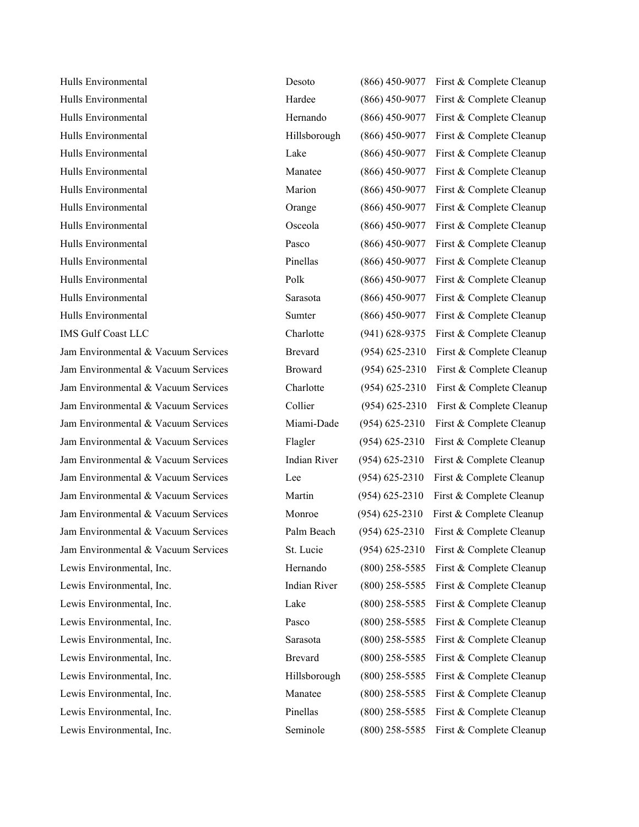Hulls Environmental Hulls Environmental Hulls Environmental Hulls Environmental Hulls Environmental Hulls Environmental Hulls Environmental Hulls Environmental Hulls Environmental Hulls Environmental Hulls Environmental Hulls Environmental Hulls Environmental Hulls Environmental IMS Gulf Coast LLC Jam Environmental & Vacuum Services Jam Environmental & Vacuum Services Jam Environmental & Vacuum Services Jam Environmental & Vacuum Services Jam Environmental & Vacuum Services Jam Environmental & Vacuum Services Jam Environmental & Vacuum Services Jam Environmental & Vacuum Services Jam Environmental & Vacuum Services Jam Environmental & Vacuum Services Jam Environmental & Vacuum Services Jam Environmental & Vacuum Services Lewis Environmental, Inc. Lewis Environmental, Inc. Lewis Environmental, Inc. Lewis Environmental, Inc. Lewis Environmental, Inc. Lewis Environmental, Inc. Lewis Environmental, Inc. Lewis Environmental, Inc. Lewis Environmental, Inc. Lewis Environmental, Inc.

| Desoto              | $(866)$ 450-9077   | First & Complete Cleanup |
|---------------------|--------------------|--------------------------|
| Hardee              | $(866)$ 450-9077   | First & Complete Cleanup |
| Hernando            | $(866)$ 450-9077   | First & Complete Cleanup |
| Hillsborough        | $(866)$ 450-9077   | First & Complete Cleanup |
| Lake                | $(866)$ 450-9077   | First & Complete Cleanup |
| Manatee             | $(866)$ 450-9077   | First & Complete Cleanup |
| Marion              | $(866)$ 450-9077   | First & Complete Cleanup |
| Orange              | $(866)$ 450-9077   | First & Complete Cleanup |
| Osceola             | $(866)$ 450-9077   | First & Complete Cleanup |
| Pasco               | $(866)$ 450-9077   | First & Complete Cleanup |
| Pinellas            | $(866)$ 450-9077   | First & Complete Cleanup |
| Polk                | $(866)$ 450-9077   | First & Complete Cleanup |
| Sarasota            | $(866)$ 450-9077   | First & Complete Cleanup |
| Sumter              | $(866)$ 450-9077   | First & Complete Cleanup |
| Charlotte           | $(941) 628 - 9375$ | First & Complete Cleanup |
| <b>Brevard</b>      | $(954) 625 - 2310$ | First & Complete Cleanup |
| <b>Broward</b>      | $(954) 625 - 2310$ | First & Complete Cleanup |
| Charlotte           | $(954) 625 - 2310$ | First & Complete Cleanup |
| Collier             | $(954) 625 - 2310$ | First & Complete Cleanup |
| Miami-Dade          | $(954) 625 - 2310$ | First & Complete Cleanup |
| Flagler             | $(954) 625 - 2310$ | First & Complete Cleanup |
| <b>Indian River</b> | $(954) 625 - 2310$ | First & Complete Cleanup |
| Lee                 | $(954) 625 - 2310$ | First & Complete Cleanup |
| Martin              | $(954) 625 - 2310$ | First & Complete Cleanup |
| Monroe              | $(954) 625 - 2310$ | First & Complete Cleanup |
| Palm Beach          | $(954) 625 - 2310$ | First & Complete Cleanup |
| St. Lucie           | $(954) 625 - 2310$ | First & Complete Cleanup |
| Hernando            | $(800)$ 258-5585   | First & Complete Cleanup |
| <b>Indian River</b> | $(800)$ 258-5585   | First & Complete Cleanup |
| Lake                | $(800)$ 258-5585   | First & Complete Cleanup |
| Pasco               | $(800)$ 258-5585   | First & Complete Cleanup |
| Sarasota            | $(800)$ 258-5585   | First & Complete Cleanup |
| <b>Brevard</b>      | $(800)$ 258-5585   | First & Complete Cleanup |
| Hillsborough        | $(800)$ 258-5585   | First & Complete Cleanup |
| Manatee             | $(800)$ 258-5585   | First & Complete Cleanup |
| Pinellas            | $(800)$ 258-5585   | First & Complete Cleanup |
| Seminole            | $(800)$ 258-5585   | First & Complete Cleanup |